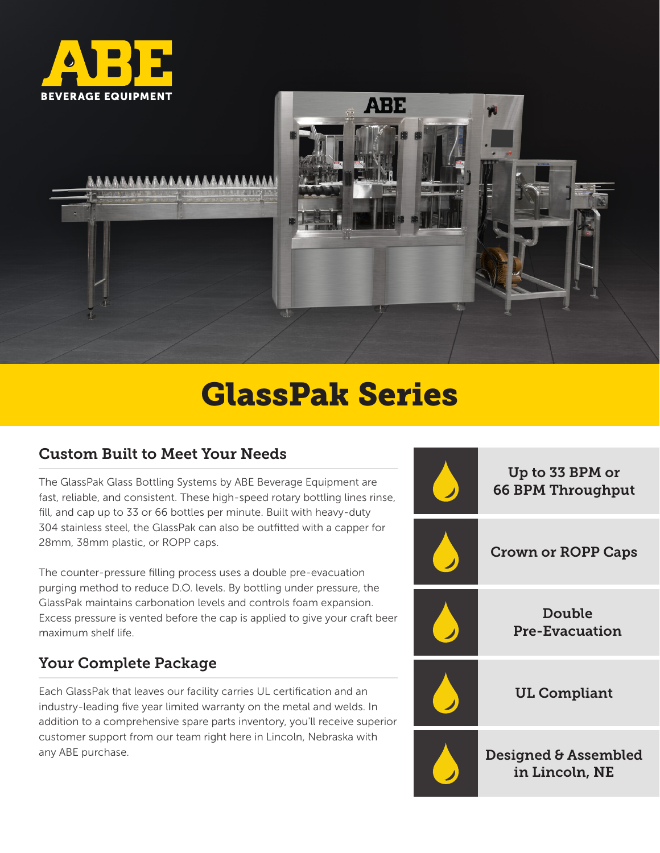



# GlassPak Series

#### Custom Built to Meet Your Needs

The GlassPak Glass Bottling Systems by ABE Beverage Equipment are fast, reliable, and consistent. These high-speed rotary bottling lines rinse, fill, and cap up to 33 or 66 bottles per minute. Built with heavy-duty 304 stainless steel, the GlassPak can also be outfitted with a capper for 28mm, 38mm plastic, or ROPP caps.

The counter-pressure filling process uses a double pre-evacuation purging method to reduce D.O. levels. By bottling under pressure, the GlassPak maintains carbonation levels and controls foam expansion. Excess pressure is vented before the cap is applied to give your craft beer maximum shelf life.

# Your Complete Package

Each GlassPak that leaves our facility carries UL certification and an industry-leading five year limited warranty on the metal and welds. In addition to a comprehensive spare parts inventory, you'll receive superior customer support from our team right here in Lincoln, Nebraska with any ABE purchase.